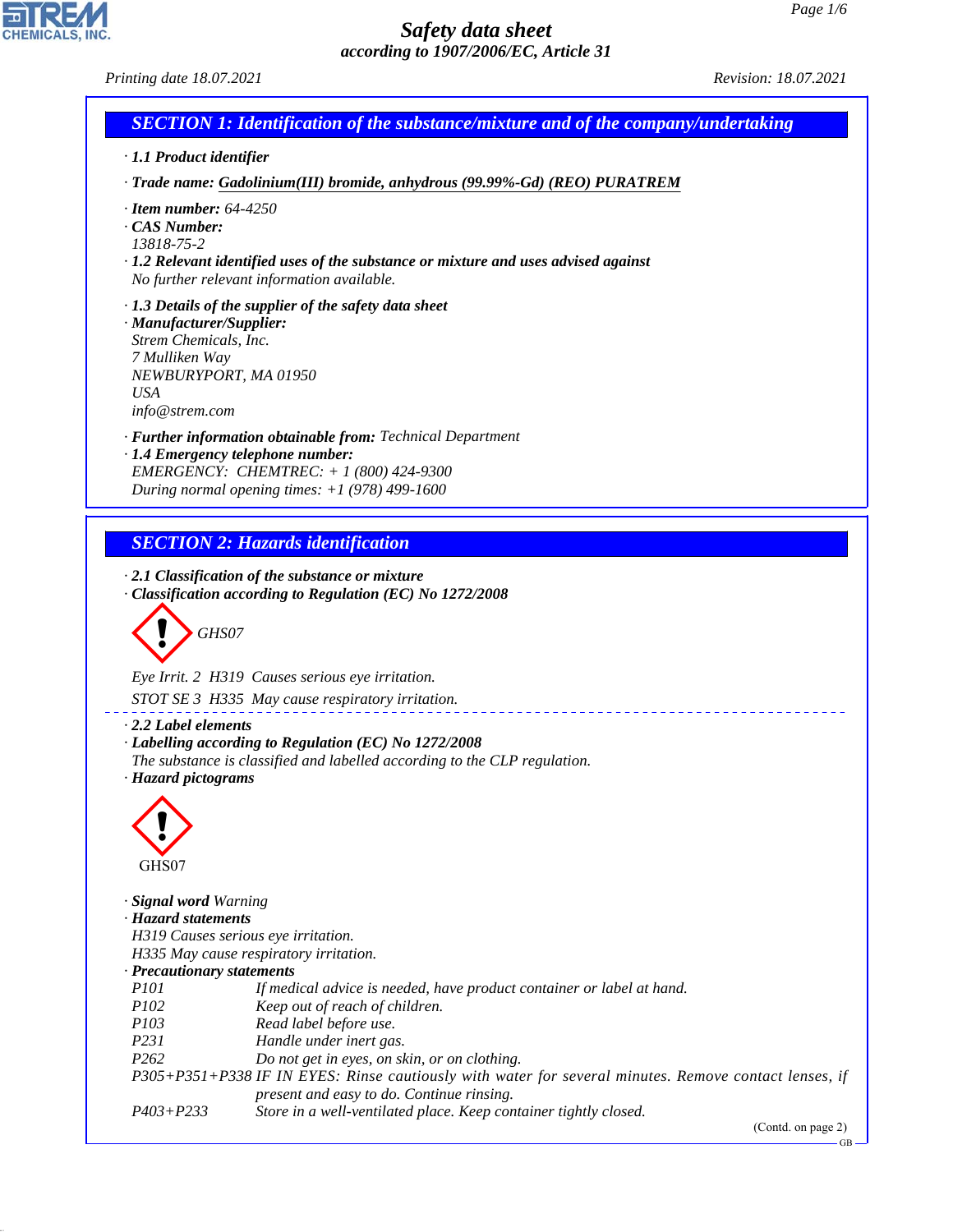*Printing date 18.07.2021 Revision: 18.07.2021*

CHEMICALS, INC.

44.1.1

*SECTION 1: Identification of the substance/mixture and of the company/undertaking · 1.1 Product identifier · Trade name: Gadolinium(III) bromide, anhydrous (99.99%-Gd) (REO) PURATREM · Item number: 64-4250 · CAS Number: 13818-75-2 · 1.2 Relevant identified uses of the substance or mixture and uses advised against No further relevant information available. · 1.3 Details of the supplier of the safety data sheet · Manufacturer/Supplier: Strem Chemicals, Inc. 7 Mulliken Way NEWBURYPORT, MA 01950 USA info@strem.com · Further information obtainable from: Technical Department · 1.4 Emergency telephone number: EMERGENCY: CHEMTREC: + 1 (800) 424-9300 During normal opening times: +1 (978) 499-1600 SECTION 2: Hazards identification · 2.1 Classification of the substance or mixture · Classification according to Regulation (EC) No 1272/2008* d~*GHS07 Eye Irrit. 2 H319 Causes serious eye irritation. STOT SE 3 H335 May cause respiratory irritation. · 2.2 Label elements · Labelling according to Regulation (EC) No 1272/2008 The substance is classified and labelled according to the CLP regulation. · Hazard pictograms* d~ GHS07 *· Signal word Warning · Hazard statements H319 Causes serious eye irritation. H335 May cause respiratory irritation. · Precautionary statements P101 If medical advice is needed, have product container or label at hand. P102 Keep out of reach of children. P103 Read label before use. P231 Handle under inert gas. P262 Do not get in eyes, on skin, or on clothing. P305+P351+P338 IF IN EYES: Rinse cautiously with water for several minutes. Remove contact lenses, if present and easy to do. Continue rinsing. P403+P233 Store in a well-ventilated place. Keep container tightly closed.*

(Contd. on page 2)

GB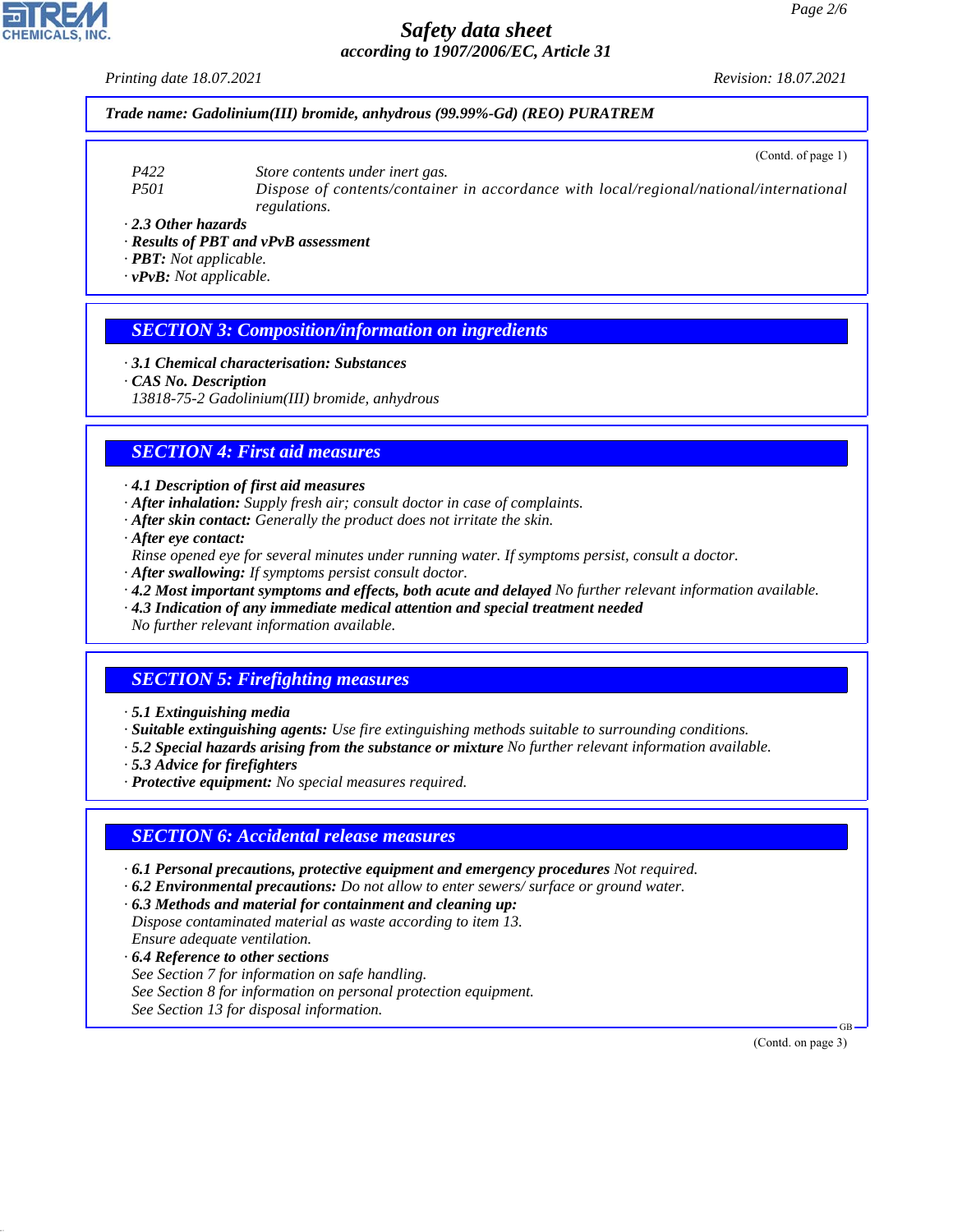*Printing date 18.07.2021 Revision: 18.07.2021*

#### *Trade name: Gadolinium(III) bromide, anhydrous (99.99%-Gd) (REO) PURATREM*

- *P422 Store contents under inert gas.*
- *P501 Dispose of contents/container in accordance with local/regional/national/international regulations.*
- *· 2.3 Other hazards*
- *· Results of PBT and vPvB assessment*
- *· PBT: Not applicable.*
- *· vPvB: Not applicable.*

#### *SECTION 3: Composition/information on ingredients*

- *· 3.1 Chemical characterisation: Substances*
- *· CAS No. Description*
- *13818-75-2 Gadolinium(III) bromide, anhydrous*

### *SECTION 4: First aid measures*

- *· 4.1 Description of first aid measures*
- *· After inhalation: Supply fresh air; consult doctor in case of complaints.*
- *· After skin contact: Generally the product does not irritate the skin.*
- *· After eye contact:*
- *Rinse opened eye for several minutes under running water. If symptoms persist, consult a doctor.*
- *· After swallowing: If symptoms persist consult doctor.*
- *· 4.2 Most important symptoms and effects, both acute and delayed No further relevant information available.*
- *· 4.3 Indication of any immediate medical attention and special treatment needed*
- *No further relevant information available.*

#### *SECTION 5: Firefighting measures*

- *· 5.1 Extinguishing media*
- *· Suitable extinguishing agents: Use fire extinguishing methods suitable to surrounding conditions.*
- *· 5.2 Special hazards arising from the substance or mixture No further relevant information available.*
- *· 5.3 Advice for firefighters*
- *· Protective equipment: No special measures required.*

#### *SECTION 6: Accidental release measures*

- *· 6.1 Personal precautions, protective equipment and emergency procedures Not required.*
- *· 6.2 Environmental precautions: Do not allow to enter sewers/ surface or ground water.*
- *· 6.3 Methods and material for containment and cleaning up: Dispose contaminated material as waste according to item 13. Ensure adequate ventilation.*
- *· 6.4 Reference to other sections See Section 7 for information on safe handling. See Section 8 for information on personal protection equipment. See Section 13 for disposal information.*

(Contd. on page 3)

GB



44.1.1

(Contd. of page 1)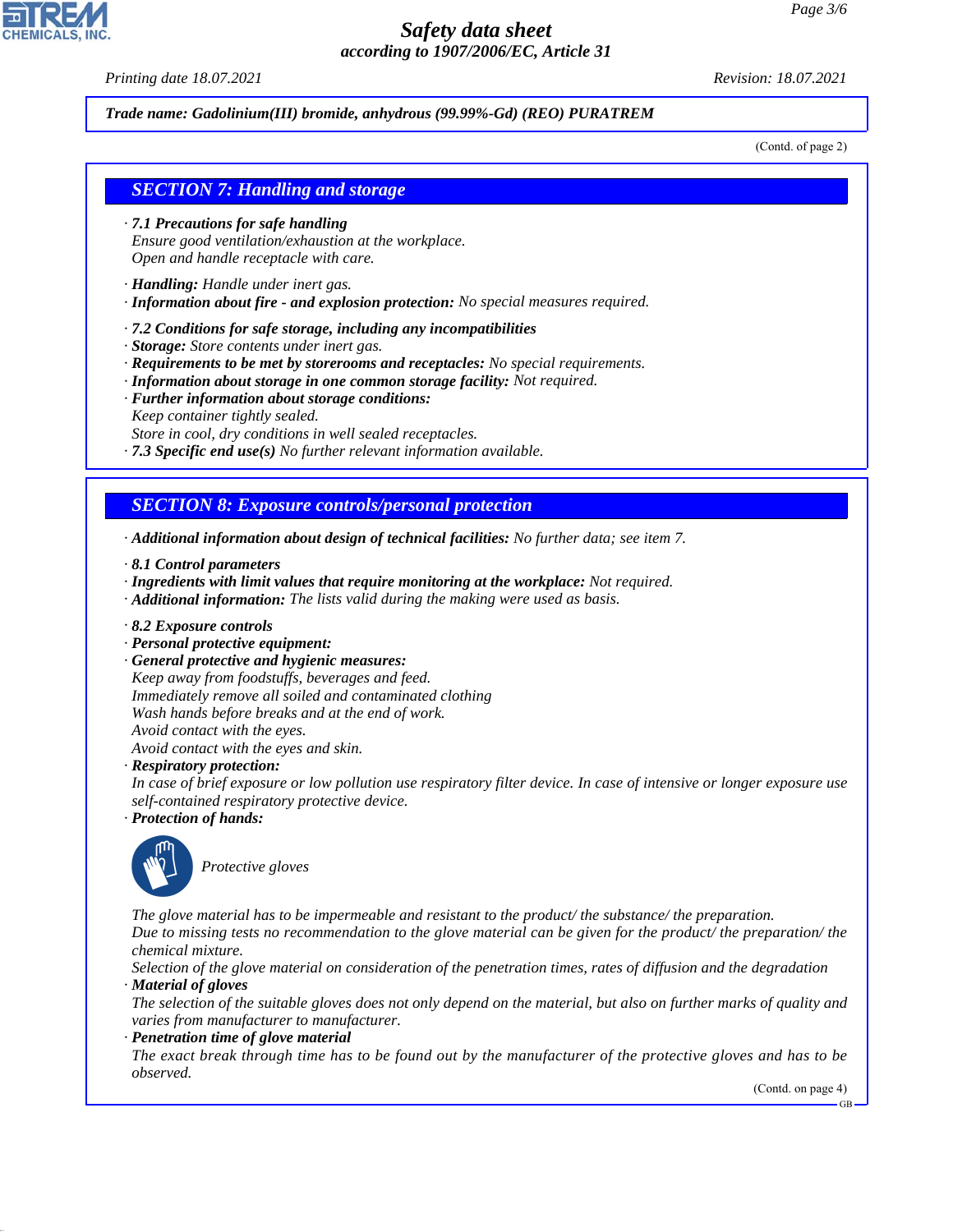*Printing date 18.07.2021 Revision: 18.07.2021*

*Trade name: Gadolinium(III) bromide, anhydrous (99.99%-Gd) (REO) PURATREM*

(Contd. of page 2)

#### *SECTION 7: Handling and storage*

- *· 7.1 Precautions for safe handling Ensure good ventilation/exhaustion at the workplace. Open and handle receptacle with care.*
- *· Handling: Handle under inert gas.*
- *· Information about fire and explosion protection: No special measures required.*
- *· 7.2 Conditions for safe storage, including any incompatibilities*
- *· Storage: Store contents under inert gas.*
- *· Requirements to be met by storerooms and receptacles: No special requirements.*
- *· Information about storage in one common storage facility: Not required.*
- *· Further information about storage conditions: Keep container tightly sealed.*
- *Store in cool, dry conditions in well sealed receptacles.*
- *· 7.3 Specific end use(s) No further relevant information available.*

## *SECTION 8: Exposure controls/personal protection*

- *· Additional information about design of technical facilities: No further data; see item 7.*
- *· 8.1 Control parameters*
- *· Ingredients with limit values that require monitoring at the workplace: Not required.*
- *· Additional information: The lists valid during the making were used as basis.*
- *· 8.2 Exposure controls*
- *· Personal protective equipment:*
- *· General protective and hygienic measures: Keep away from foodstuffs, beverages and feed. Immediately remove all soiled and contaminated clothing Wash hands before breaks and at the end of work. Avoid contact with the eyes.*
- *Avoid contact with the eyes and skin.*
- *· Respiratory protection:*
- *In case of brief exposure or low pollution use respiratory filter device. In case of intensive or longer exposure use self-contained respiratory protective device.*
- *· Protection of hands:*



44.1.1

\_S*Protective gloves*

*The glove material has to be impermeable and resistant to the product/ the substance/ the preparation. Due to missing tests no recommendation to the glove material can be given for the product/ the preparation/ the chemical mixture.*

*Selection of the glove material on consideration of the penetration times, rates of diffusion and the degradation · Material of gloves*

*The selection of the suitable gloves does not only depend on the material, but also on further marks of quality and varies from manufacturer to manufacturer.*

*· Penetration time of glove material*

*The exact break through time has to be found out by the manufacturer of the protective gloves and has to be observed.*

(Contd. on page 4)

GB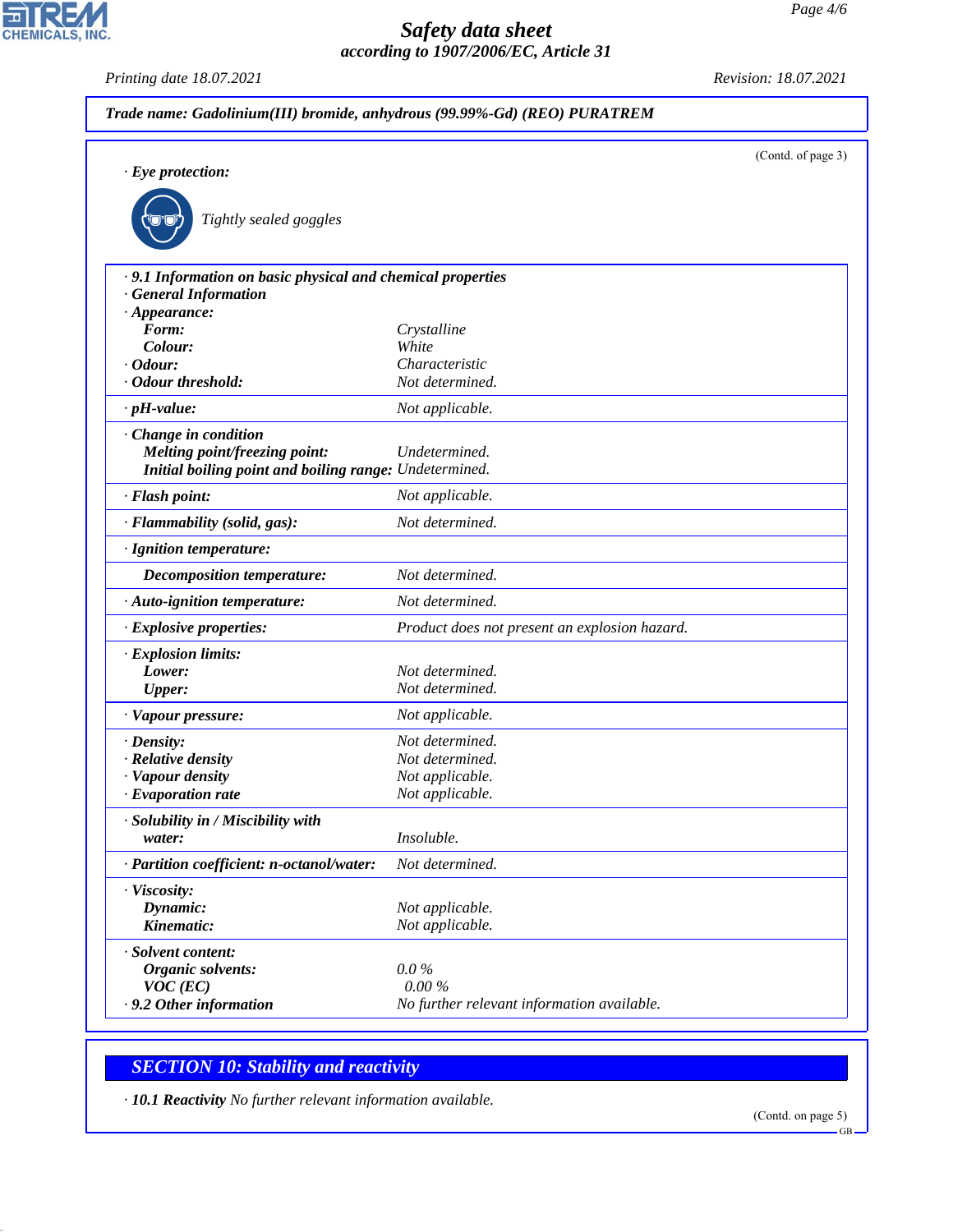*Printing date 18.07.2021 Revision: 18.07.2021*

CHEMICALS, INC.

|                                                                                           | Trade name: Gadolinium(III) bromide, anhydrous (99.99%-Gd) (REO) PURATREM |                    |
|-------------------------------------------------------------------------------------------|---------------------------------------------------------------------------|--------------------|
|                                                                                           |                                                                           | (Contd. of page 3) |
| $\cdot$ Eye protection:                                                                   |                                                                           |                    |
| Tightly sealed goggles                                                                    |                                                                           |                    |
| · 9.1 Information on basic physical and chemical properties<br><b>General Information</b> |                                                                           |                    |
| $\cdot$ Appearance:                                                                       |                                                                           |                    |
| Form:                                                                                     | Crystalline                                                               |                    |
| Colour:                                                                                   | White                                                                     |                    |
| $\cdot$ Odour:                                                                            | Characteristic                                                            |                    |
| · Odour threshold:                                                                        | Not determined.                                                           |                    |
| $\cdot$ pH-value:                                                                         | Not applicable.                                                           |                    |
| Change in condition                                                                       |                                                                           |                    |
| <b>Melting point/freezing point:</b>                                                      | Undetermined.                                                             |                    |
| Initial boiling point and boiling range: Undetermined.                                    |                                                                           |                    |
| · Flash point:                                                                            | Not applicable.                                                           |                    |
| · Flammability (solid, gas):                                                              | Not determined.                                                           |                    |
| · Ignition temperature:                                                                   |                                                                           |                    |
| <b>Decomposition temperature:</b>                                                         | Not determined.                                                           |                    |
| · Auto-ignition temperature:                                                              | Not determined.                                                           |                    |
| · Explosive properties:                                                                   | Product does not present an explosion hazard.                             |                    |
| · Explosion limits:                                                                       |                                                                           |                    |
| Lower:                                                                                    | Not determined.                                                           |                    |
| <b>Upper:</b>                                                                             | Not determined.                                                           |                    |
| · Vapour pressure:                                                                        | Not applicable.                                                           |                    |
| · Density:                                                                                | Not determined.                                                           |                    |
| · Relative density                                                                        | Not determined.                                                           |                    |
| · Vapour density                                                                          | Not applicable.                                                           |                    |
| $\cdot$ Evaporation rate                                                                  | Not applicable.                                                           |                    |
| · Solubility in / Miscibility with<br>water:                                              | <i>Insoluble.</i>                                                         |                    |
| · Partition coefficient: n-octanol/water:                                                 | Not determined.                                                           |                    |
|                                                                                           |                                                                           |                    |
| · Viscosity:                                                                              |                                                                           |                    |
| Dynamic:<br>Kinematic:                                                                    | Not applicable.                                                           |                    |
|                                                                                           | Not applicable.                                                           |                    |
| · Solvent content:                                                                        |                                                                           |                    |
| <b>Organic solvents:</b>                                                                  | $0.0\%$<br>0.00%                                                          |                    |
| $VOC$ (EC)<br>. 9.2 Other information                                                     | No further relevant information available.                                |                    |
|                                                                                           |                                                                           |                    |

# *SECTION 10: Stability and reactivity*

44.1.1

*· 10.1 Reactivity No further relevant information available.*

(Contd. on page 5)

GB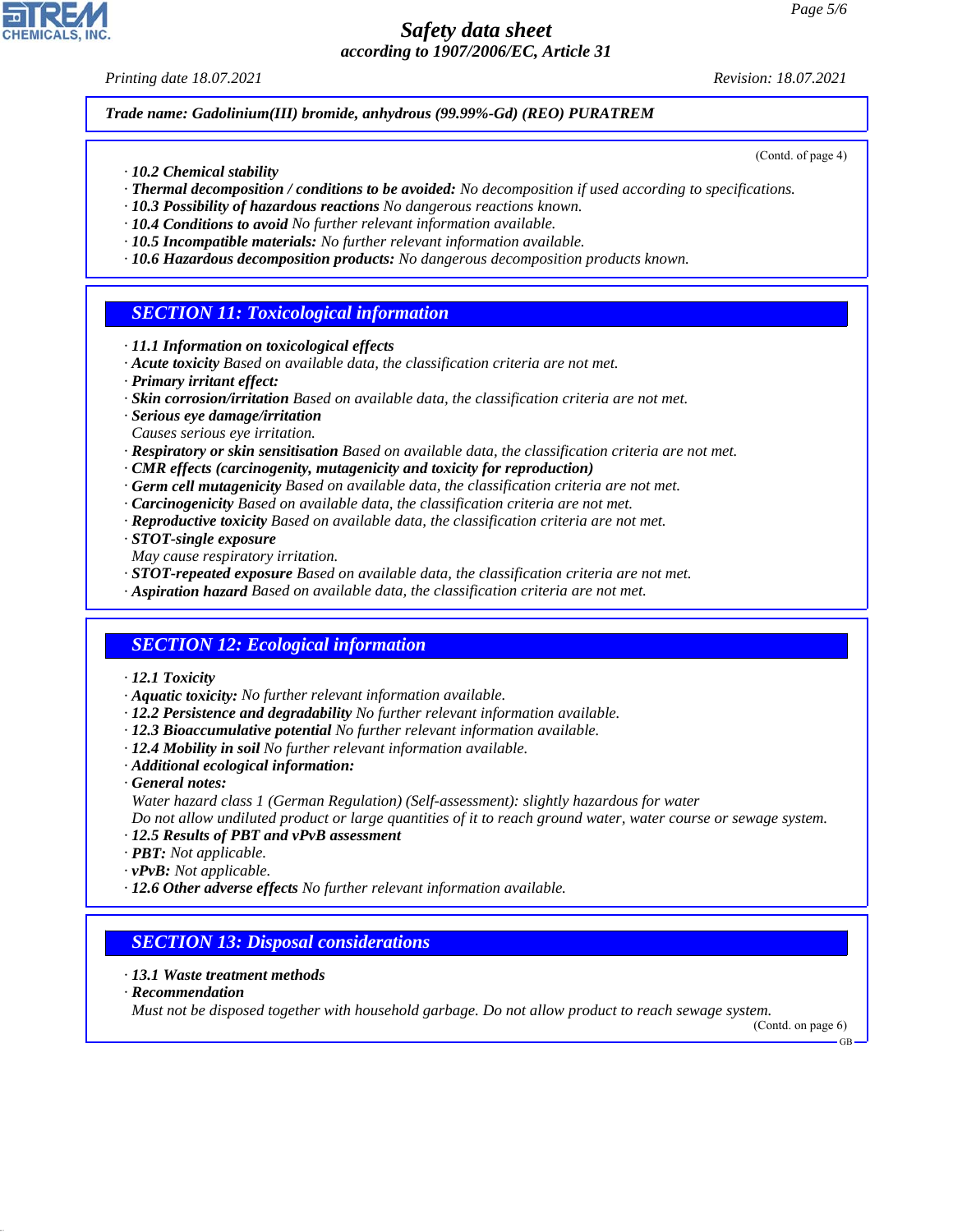*Printing date 18.07.2021 Revision: 18.07.2021*

*Trade name: Gadolinium(III) bromide, anhydrous (99.99%-Gd) (REO) PURATREM*

- *· 10.2 Chemical stability*
- *· Thermal decomposition / conditions to be avoided: No decomposition if used according to specifications.*
- *· 10.3 Possibility of hazardous reactions No dangerous reactions known.*
- *· 10.4 Conditions to avoid No further relevant information available.*
- *· 10.5 Incompatible materials: No further relevant information available.*
- *· 10.6 Hazardous decomposition products: No dangerous decomposition products known.*

## *SECTION 11: Toxicological information*

- *· 11.1 Information on toxicological effects*
- *· Acute toxicity Based on available data, the classification criteria are not met.*
- *· Primary irritant effect:*
- *· Skin corrosion/irritation Based on available data, the classification criteria are not met.*
- *· Serious eye damage/irritation*
- *Causes serious eye irritation.*
- *· Respiratory or skin sensitisation Based on available data, the classification criteria are not met.*
- *· CMR effects (carcinogenity, mutagenicity and toxicity for reproduction)*
- *· Germ cell mutagenicity Based on available data, the classification criteria are not met.*
- *· Carcinogenicity Based on available data, the classification criteria are not met.*
- *· Reproductive toxicity Based on available data, the classification criteria are not met.*
- *· STOT-single exposure*
- *May cause respiratory irritation.*
- *· STOT-repeated exposure Based on available data, the classification criteria are not met.*
- *· Aspiration hazard Based on available data, the classification criteria are not met.*

## *SECTION 12: Ecological information*

- *· 12.1 Toxicity*
- *· Aquatic toxicity: No further relevant information available.*
- *· 12.2 Persistence and degradability No further relevant information available.*
- *· 12.3 Bioaccumulative potential No further relevant information available.*
- *· 12.4 Mobility in soil No further relevant information available.*
- *· Additional ecological information:*
- *· General notes:*
- *Water hazard class 1 (German Regulation) (Self-assessment): slightly hazardous for water*
- *Do not allow undiluted product or large quantities of it to reach ground water, water course or sewage system.*
- *· 12.5 Results of PBT and vPvB assessment*
- *· PBT: Not applicable.*
- *· vPvB: Not applicable.*
- *· 12.6 Other adverse effects No further relevant information available.*

# *SECTION 13: Disposal considerations*

#### *· 13.1 Waste treatment methods*

*· Recommendation*

44.1.1

*Must not be disposed together with household garbage. Do not allow product to reach sewage system.*

(Contd. on page 6)

GB



(Contd. of page 4)